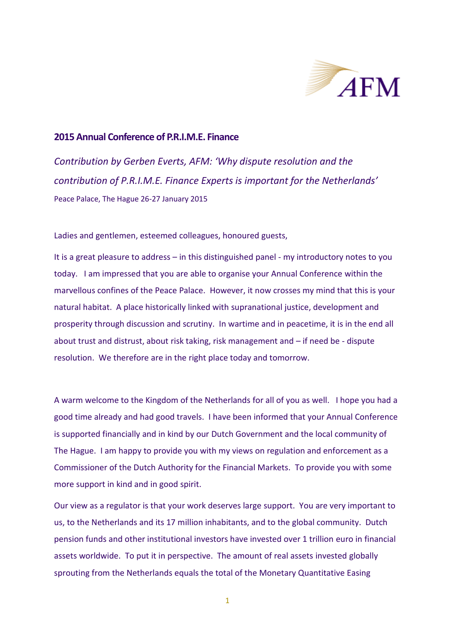

## **2015 Annual Conference of P.R.I.M.E. Finance**

*Contribution by Gerben Everts, AFM: 'Why dispute resolution and the contribution of P.R.I.M.E. Finance Experts is important for the Netherlands'* Peace Palace, The Hague 26-27 January 2015

Ladies and gentlemen, esteemed colleagues, honoured guests,

It is a great pleasure to address – in this distinguished panel - my introductory notes to you today. I am impressed that you are able to organise your Annual Conference within the marvellous confines of the Peace Palace. However, it now crosses my mind that this is your natural habitat. A place historically linked with supranational justice, development and prosperity through discussion and scrutiny. In wartime and in peacetime, it is in the end all about trust and distrust, about risk taking, risk management and – if need be - dispute resolution. We therefore are in the right place today and tomorrow.

A warm welcome to the Kingdom of the Netherlands for all of you as well. I hope you had a good time already and had good travels. I have been informed that your Annual Conference is supported financially and in kind by our Dutch Government and the local community of The Hague. I am happy to provide you with my views on regulation and enforcement as a Commissioner of the Dutch Authority for the Financial Markets. To provide you with some more support in kind and in good spirit.

Our view as a regulator is that your work deserves large support. You are very important to us, to the Netherlands and its 17 million inhabitants, and to the global community. Dutch pension funds and other institutional investors have invested over 1 trillion euro in financial assets worldwide. To put it in perspective. The amount of real assets invested globally sprouting from the Netherlands equals the total of the Monetary Quantitative Easing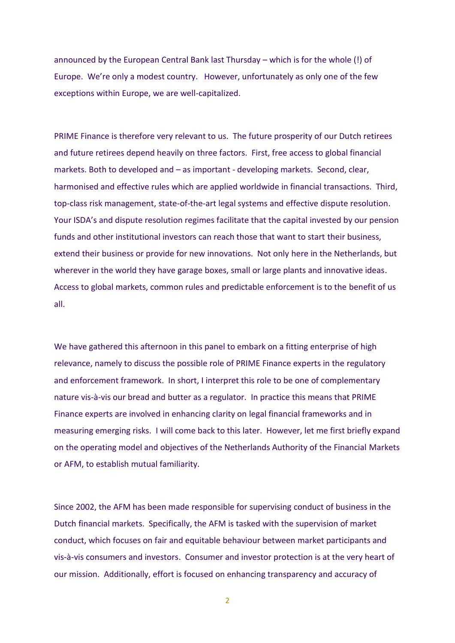announced by the European Central Bank last Thursday – which is for the whole (!) of Europe. We're only a modest country. However, unfortunately as only one of the few exceptions within Europe, we are well-capitalized.

PRIME Finance is therefore very relevant to us. The future prosperity of our Dutch retirees and future retirees depend heavily on three factors. First, free access to global financial markets. Both to developed and – as important - developing markets. Second, clear, harmonised and effective rules which are applied worldwide in financial transactions. Third, top-class risk management, state-of-the-art legal systems and effective dispute resolution. Your ISDA's and dispute resolution regimes facilitate that the capital invested by our pension funds and other institutional investors can reach those that want to start their business, extend their business or provide for new innovations. Not only here in the Netherlands, but wherever in the world they have garage boxes, small or large plants and innovative ideas. Access to global markets, common rules and predictable enforcement is to the benefit of us all.

We have gathered this afternoon in this panel to embark on a fitting enterprise of high relevance, namely to discuss the possible role of PRIME Finance experts in the regulatory and enforcement framework. In short, I interpret this role to be one of complementary nature vis-à-vis our bread and butter as a regulator. In practice this means that PRIME Finance experts are involved in enhancing clarity on legal financial frameworks and in measuring emerging risks. I will come back to this later. However, let me first briefly expand on the operating model and objectives of the Netherlands Authority of the Financial Markets or AFM, to establish mutual familiarity.

Since 2002, the AFM has been made responsible for supervising conduct of business in the Dutch financial markets. Specifically, the AFM is tasked with the supervision of market conduct, which focuses on fair and equitable behaviour between market participants and vis-à-vis consumers and investors. Consumer and investor protection is at the very heart of our mission. Additionally, effort is focused on enhancing transparency and accuracy of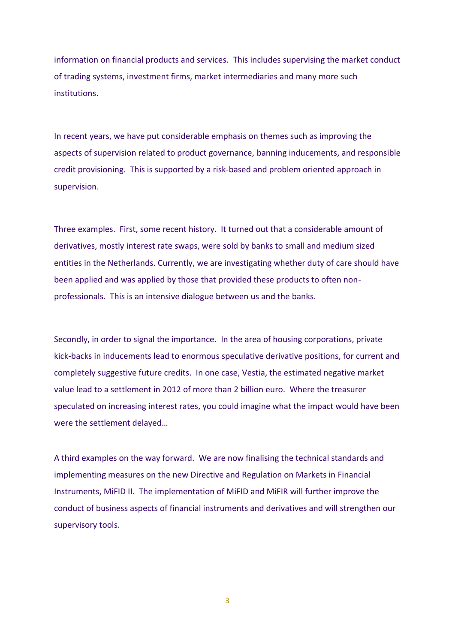information on financial products and services. This includes supervising the market conduct of trading systems, investment firms, market intermediaries and many more such institutions.

In recent years, we have put considerable emphasis on themes such as improving the aspects of supervision related to product governance, banning inducements, and responsible credit provisioning. This is supported by a risk-based and problem oriented approach in supervision.

Three examples. First, some recent history. It turned out that a considerable amount of derivatives, mostly interest rate swaps, were sold by banks to small and medium sized entities in the Netherlands. Currently, we are investigating whether duty of care should have been applied and was applied by those that provided these products to often nonprofessionals. This is an intensive dialogue between us and the banks.

Secondly, in order to signal the importance. In the area of housing corporations, private kick-backs in inducements lead to enormous speculative derivative positions, for current and completely suggestive future credits. In one case, Vestia, the estimated negative market value lead to a settlement in 2012 of more than 2 billion euro. Where the treasurer speculated on increasing interest rates, you could imagine what the impact would have been were the settlement delayed…

A third examples on the way forward. We are now finalising the technical standards and implementing measures on the new Directive and Regulation on Markets in Financial Instruments, MiFID II. The implementation of MiFID and MiFIR will further improve the conduct of business aspects of financial instruments and derivatives and will strengthen our supervisory tools.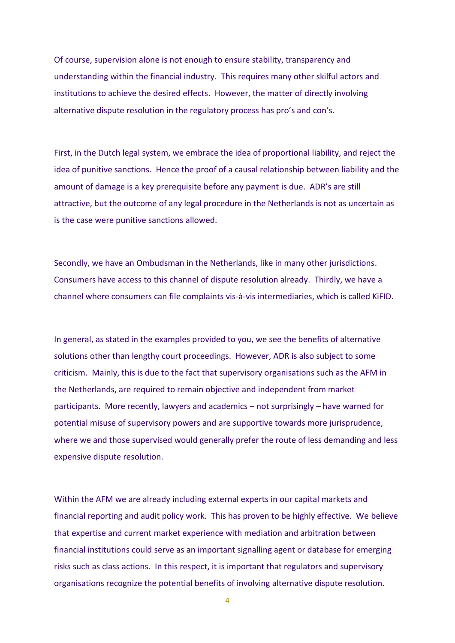Of course, supervision alone is not enough to ensure stability, transparency and understanding within the financial industry. This requires many other skilful actors and institutions to achieve the desired effects. However, the matter of directly involving alternative dispute resolution in the regulatory process has pro's and con's.

First, in the Dutch legal system, we embrace the idea of proportional liability, and reject the idea of punitive sanctions. Hence the proof of a causal relationship between liability and the amount of damage is a key prerequisite before any payment is due. ADR's are still attractive, but the outcome of any legal procedure in the Netherlands is not as uncertain as is the case were punitive sanctions allowed.

Secondly, we have an Ombudsman in the Netherlands, like in many other jurisdictions. Consumers have access to this channel of dispute resolution already. Thirdly, we have a channel where consumers can file complaints vis-à-vis intermediaries, which is called KiFID.

In general, as stated in the examples provided to you, we see the benefits of alternative solutions other than lengthy court proceedings. However, ADR is also subject to some criticism. Mainly, this is due to the fact that supervisory organisations such as the AFM in the Netherlands, are required to remain objective and independent from market participants. More recently, lawyers and academics – not surprisingly – have warned for potential misuse of supervisory powers and are supportive towards more jurisprudence, where we and those supervised would generally prefer the route of less demanding and less expensive dispute resolution.

Within the AFM we are already including external experts in our capital markets and financial reporting and audit policy work. This has proven to be highly effective. We believe that expertise and current market experience with mediation and arbitration between financial institutions could serve as an important signalling agent or database for emerging risks such as class actions. In this respect, it is important that regulators and supervisory organisations recognize the potential benefits of involving alternative dispute resolution.